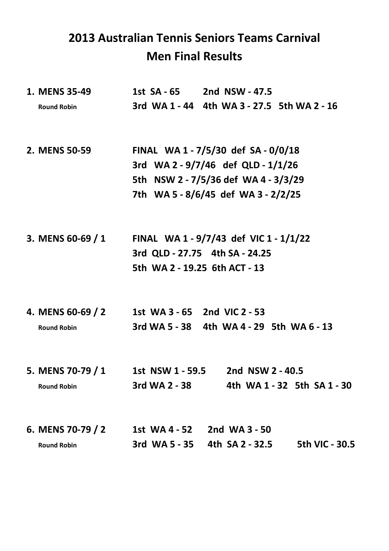## **2013 Australian Tennis Seniors Teams Carnival Men Final Results**

|  | 1. MENS 35-49                                       |                                        | 1st SA - 65 2nd NSW - 47.5                  |                             |
|--|-----------------------------------------------------|----------------------------------------|---------------------------------------------|-----------------------------|
|  | <b>Round Robin</b>                                  |                                        | 3rd WA 1 - 44 4th WA 3 - 27.5 5th WA 2 - 16 |                             |
|  | 2. MENS 50-59                                       | FINAL WA1-7/5/30 def SA-0/0/18         |                                             |                             |
|  |                                                     | 3rd WA 2 - 9/7/46 def QLD - 1/1/26     |                                             |                             |
|  |                                                     | 5th NSW 2 - 7/5/36 def WA 4 - 3/3/29   |                                             |                             |
|  |                                                     | 7th WA5-8/6/45 def WA3-2/2/25          |                                             |                             |
|  | 3. MENS 60-69 / 1                                   | FINAL WA 1 - 9/7/43 def VIC 1 - 1/1/22 |                                             |                             |
|  |                                                     | 3rd QLD - 27.75 4th SA - 24.25         |                                             |                             |
|  |                                                     | 5th WA 2 - 19.25 6th ACT - 13          |                                             |                             |
|  | 4. MENS 60-69 / 2 1st WA 3 - 65 2nd VIC 2 - 53      |                                        |                                             |                             |
|  | <b>Round Robin</b>                                  |                                        | 3rd WA 5 - 38 4th WA 4 - 29 5th WA 6 - 13   |                             |
|  | 5. MENS 70-79 / 1 1st NSW 1 - 59.5 2nd NSW 2 - 40.5 |                                        |                                             |                             |
|  | <b>Round Robin</b>                                  | 3rd WA 2 - 38                          |                                             | 4th WA 1 - 32 5th SA 1 - 30 |
|  | 6. MENS 70-79 / 2                                   |                                        | 1st WA 4 - 52 2nd WA 3 - 50                 |                             |
|  | <b>Round Robin</b>                                  |                                        | 3rd WA 5 - 35 4th SA 2 - 32.5               | 5th VIC - 30.5              |
|  |                                                     |                                        |                                             |                             |